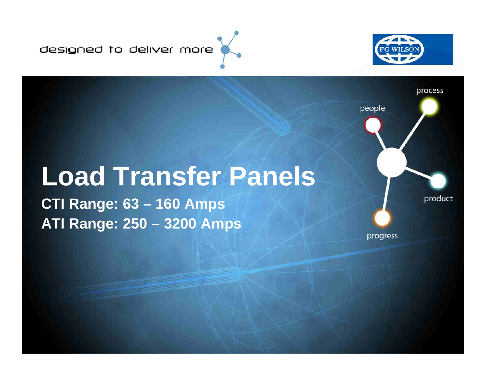designed to deliver more



## **Load Transfer Panels**

**CTI Range: 63 – 160 AmpsATI Range: 250 – 3200 Amps**

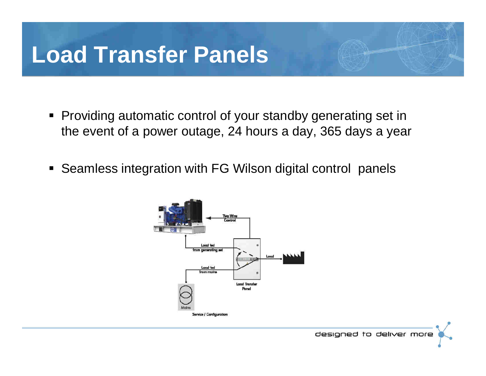### **Load Transfer Panels**

- Providing automatic control of your standby generating set in the event of a power outage, 24 hours a day, 365 days a year
- Seamless integration with FG Wilson digital control panels

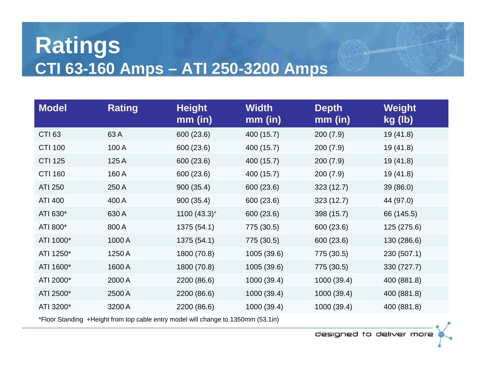#### **Ratings CTI 63-160 Amps – ATI 250-3200 Amps**

| <b>Model</b>   | <b>Rating</b> | <b>Height</b><br>$mm$ (in) | <b>Width</b><br>$mm$ (in) | <b>Depth</b><br>$mm$ (in) | Weight<br>kg (lb) |
|----------------|---------------|----------------------------|---------------------------|---------------------------|-------------------|
| <b>CTI 63</b>  | 63A           | 600 (23.6)                 | 400 (15.7)                | 200(7.9)                  | 19(41.8)          |
| <b>CTI 100</b> | 100 A         | 600 (23.6)                 | 400 (15.7)                | 200(7.9)                  | 19(41.8)          |
| <b>CTI 125</b> | 125A          | 600 (23.6)                 | 400 (15.7)                | 200(7.9)                  | 19(41.8)          |
| <b>CTI 160</b> | 160A          | 600 (23.6)                 | 400 (15.7)                | 200(7.9)                  | 19(41.8)          |
| <b>ATI 250</b> | 250 A         | 900(35.4)                  | 600 (23.6)                | 323(12.7)                 | 39(86.0)          |
| ATI 400        | 400 A         | 900(35.4)                  | 600 (23.6)                | 323 (12.7)                | 44 (97.0)         |
| ATI 630*       | 630 A         | $1100(43.3)$ <sup>+</sup>  | 600 (23.6)                | 398 (15.7)                | 66 (145.5)        |
| ATI 800*       | 800 A         | 1375 (54.1)                | 775 (30.5)                | 600 (23.6)                | 125 (275.6)       |
| ATI 1000*      | 1000 A        | 1375 (54.1)                | 775 (30.5)                | 600 (23.6)                | 130 (286.6)       |
| ATI 1250*      | 1250 A        | 1800 (70.8)                | 1005 (39.6)               | 775 (30.5)                | 230 (507.1)       |
| ATI 1600*      | 1600A         | 1800 (70.8)                | 1005 (39.6)               | 775 (30.5)                | 330 (727.7)       |
| ATI 2000*      | 2000 A        | 2200 (86.6)                | 1000 (39.4)               | 1000 (39.4)               | 400 (881.8)       |
| ATI 2500*      | 2500 A        | 2200 (86.6)                | 1000 (39.4)               | 1000 (39.4)               | 400 (881.8)       |
| ATI 3200*      | 3200 A        | 2200 (86.6)                | 1000 (39.4)               | 1000 (39.4)               | 400 (881.8)       |

\*Floor Standing +Height from top cable entry model will change to 1350mm (53.1in)

designed to deliver more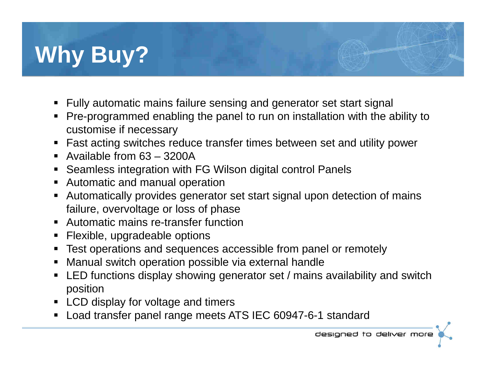# **Why Buy?**

- ▅ Fully automatic mains failure sensing and generator set start signal
- ▅ Pre-programmed enabling the panel to run on installation with the ability to customise if necessary
- Fast acting switches reduce transfer times between set and utility power ▅
- Available from 63 3200A
- Seamless integration with FG Wilson digital control Panels  $\blacksquare$
- $\blacksquare$ Automatic and manual operation
- Automatically provides generator set start signal upon detection of mains failure, overvoltage or loss of phase
- Automatic mains re-transfer function  $\blacksquare$
- $\blacksquare$ Flexible, upgradeable options
- **Test operations and sequences accessible from panel or remotely** ▅
- $\blacksquare$ Manual switch operation possible via external handle
- LED functions display showing generator set / mains availability and switch  $\blacksquare$ position
- LCD display for voltage and timers
- Load transfer panel range meets ATS IEC 60947-6-1 standard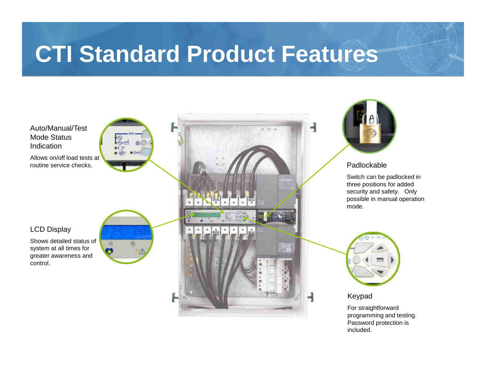### **CTI Standard Product Features**



 programming and testing. Password protection is included.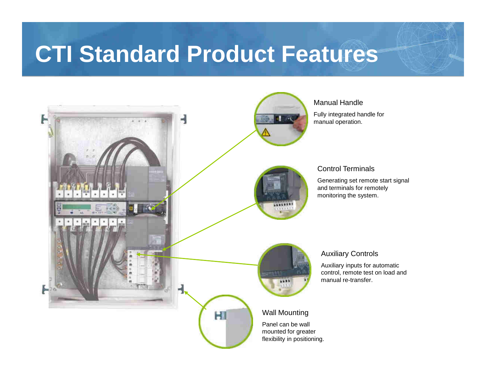#### **CTI Standard Product Features**



#### Manual Handle

Fully integrated handle for manual operation.

#### Control Terminals

Generating set remote start signal and terminals for remotely monitoring the system.

#### Auxiliary Controls

Auxiliary inputs for automatic control, remote test on load and manual re-transfer.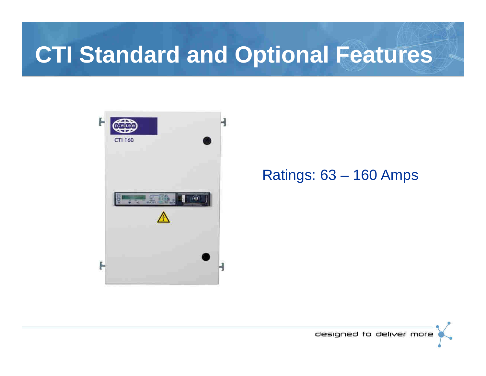### **CTI Standard and Optional Features**



Ratings: 63 – 160 Amps

designed to deliver more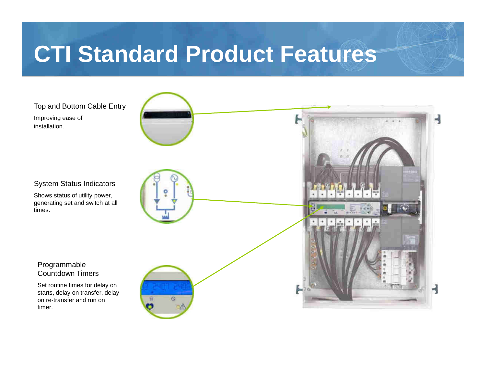### **CTI Standard Product Features**

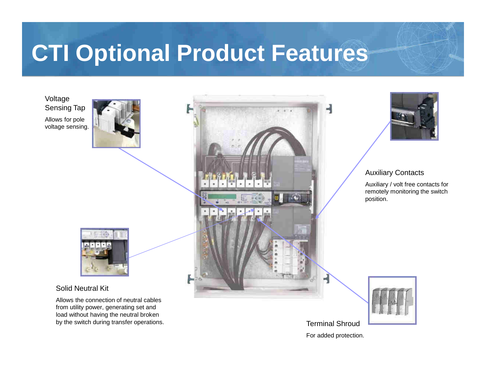### **CTI Optional Product Features**

Voltage Sensing TapAllows for pole voltage sensing.





#### Solid Neutral Kit

Allows the connection of neutral cables from utility power, generating set and load without having the neutral broken by the switch during transfer operations.





#### Auxiliary Contacts

Auxiliary / volt free contacts for remotely monitoring the switch position.



Terminal ShroudFor added protection.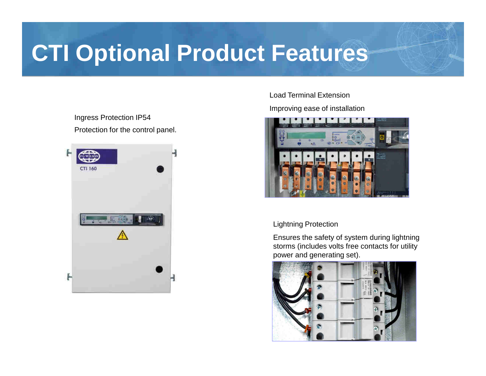### **CTI Optional Product Features**

Ingress Protection IP54Protection for the control panel.



Load Terminal Extension

Improving ease of installation



Lightning Protection

Ensures the safety of system during lightning storms (includes volts free contacts for utility power and generating set).

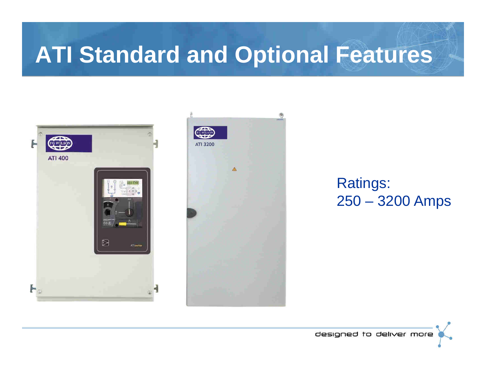### **ATI Standard and Optional Features**





#### Ratings: 250 – 3200 Amps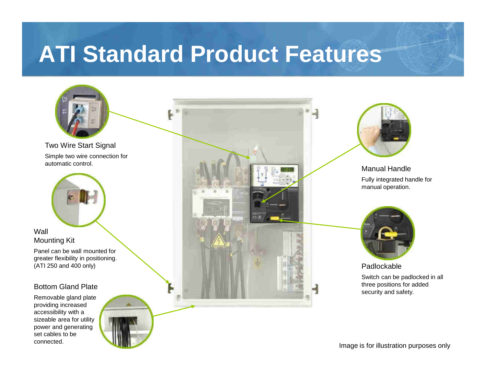### **ATI Standard Product Features**

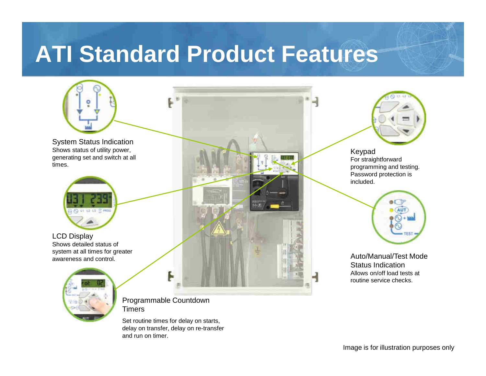#### **ATI Standard Product Features**



Set routine times for delay on starts, delay on transfer, delay on re-transfer and run on timer.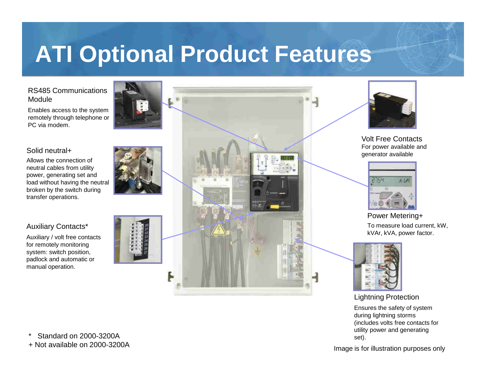### **ATI Optional Product Features**

#### RS485 Communications Module

Enables access to the system remotely through telephone or PC via modem.

#### Solid neutral+

 Allows the connection of neutral cables from utility power, generating set and load without having the neutral broken by the switch during transfer operations.

#### Auxiliary Contacts\*

Auxiliary / volt free contacts for remotely monitoring system: switch position, padlock and automatic or manual operation.







Volt Free Contacts For power available and generator available



#### Power Metering+ To measure load current, kW, kVAr, kVA, power factor.



Lightning Protection Ensures the safety of system during lightning storms (includes volts free contacts for utility power and generating set).

Image is for illustration purposes only

Standard on 2000-3200A

+ Not available on 2000-3200A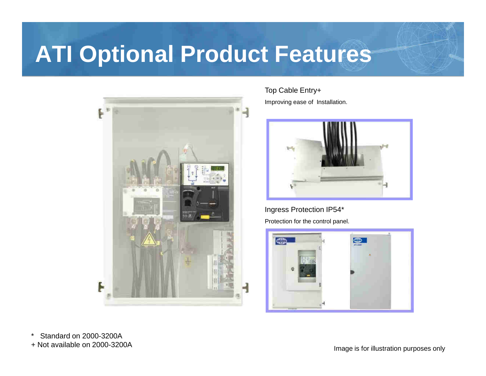### **ATI Optional Product Features**



Top Cable Entry+Improving ease of Installation.



Ingress Protection IP54\*Protection for the control panel.



\* Standard on 2000-3200A+ Not available on 2000-3200A